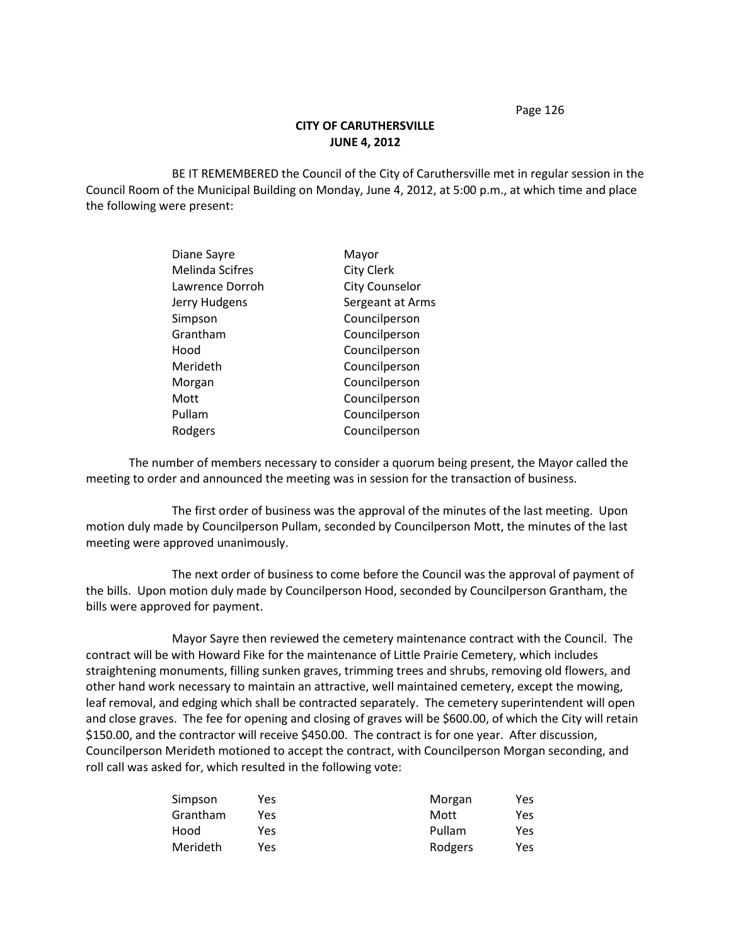Page 126

## **CITY OF CARUTHERSVILLE JUNE 4, 2012**

BE IT REMEMBERED the Council of the City of Caruthersville met in regular session in the Council Room of the Municipal Building on Monday, June 4, 2012, at 5:00 p.m., at which time and place the following were present:

| Diane Sayre            | Mayor                 |
|------------------------|-----------------------|
| <b>Melinda Scifres</b> | <b>City Clerk</b>     |
| Lawrence Dorroh        | <b>City Counselor</b> |
| Jerry Hudgens          | Sergeant at Arms      |
| Simpson                | Councilperson         |
| Grantham               | Councilperson         |
| Hood                   | Councilperson         |
| Merideth               | Councilperson         |
| Morgan                 | Councilperson         |
| Mott                   | Councilperson         |
| Pullam                 | Councilperson         |
| Rodgers                | Councilperson         |
|                        |                       |

The number of members necessary to consider a quorum being present, the Mayor called the meeting to order and announced the meeting was in session for the transaction of business.

The first order of business was the approval of the minutes of the last meeting. Upon motion duly made by Councilperson Pullam, seconded by Councilperson Mott, the minutes of the last meeting were approved unanimously.

The next order of business to come before the Council was the approval of payment of the bills. Upon motion duly made by Councilperson Hood, seconded by Councilperson Grantham, the bills were approved for payment.

Mayor Sayre then reviewed the cemetery maintenance contract with the Council. The contract will be with Howard Fike for the maintenance of Little Prairie Cemetery, which includes straightening monuments, filling sunken graves, trimming trees and shrubs, removing old flowers, and other hand work necessary to maintain an attractive, well maintained cemetery, except the mowing, leaf removal, and edging which shall be contracted separately. The cemetery superintendent will open and close graves. The fee for opening and closing of graves will be \$600.00, of which the City will retain \$150.00, and the contractor will receive \$450.00. The contract is for one year. After discussion, Councilperson Merideth motioned to accept the contract, with Councilperson Morgan seconding, and roll call was asked for, which resulted in the following vote:

| Simpson  | Yes | Morgan  | Yes |
|----------|-----|---------|-----|
| Grantham | Yes | Mott    | Yes |
| Hood     | Yes | Pullam  | Yes |
| Merideth | Yes | Rodgers | Yes |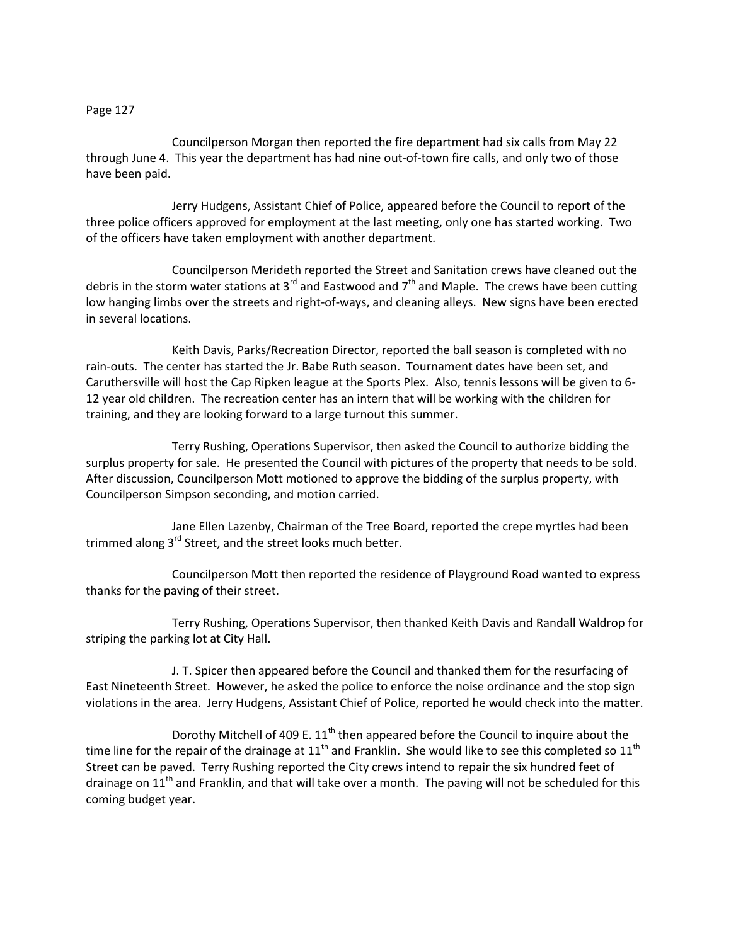## Page 127

Councilperson Morgan then reported the fire department had six calls from May 22 through June 4. This year the department has had nine out-of-town fire calls, and only two of those have been paid.

Jerry Hudgens, Assistant Chief of Police, appeared before the Council to report of the three police officers approved for employment at the last meeting, only one has started working. Two of the officers have taken employment with another department.

Councilperson Merideth reported the Street and Sanitation crews have cleaned out the debris in the storm water stations at 3<sup>rd</sup> and Eastwood and 7<sup>th</sup> and Maple. The crews have been cutting low hanging limbs over the streets and right-of-ways, and cleaning alleys. New signs have been erected in several locations.

Keith Davis, Parks/Recreation Director, reported the ball season is completed with no rain-outs. The center has started the Jr. Babe Ruth season. Tournament dates have been set, and Caruthersville will host the Cap Ripken league at the Sports Plex. Also, tennis lessons will be given to 6- 12 year old children. The recreation center has an intern that will be working with the children for training, and they are looking forward to a large turnout this summer.

Terry Rushing, Operations Supervisor, then asked the Council to authorize bidding the surplus property for sale. He presented the Council with pictures of the property that needs to be sold. After discussion, Councilperson Mott motioned to approve the bidding of the surplus property, with Councilperson Simpson seconding, and motion carried.

Jane Ellen Lazenby, Chairman of the Tree Board, reported the crepe myrtles had been trimmed along 3<sup>rd</sup> Street, and the street looks much better.

Councilperson Mott then reported the residence of Playground Road wanted to express thanks for the paving of their street.

Terry Rushing, Operations Supervisor, then thanked Keith Davis and Randall Waldrop for striping the parking lot at City Hall.

J. T. Spicer then appeared before the Council and thanked them for the resurfacing of East Nineteenth Street. However, he asked the police to enforce the noise ordinance and the stop sign violations in the area. Jerry Hudgens, Assistant Chief of Police, reported he would check into the matter.

Dorothy Mitchell of 409 E.  $11<sup>th</sup>$  then appeared before the Council to inquire about the time line for the repair of the drainage at  $11<sup>th</sup>$  and Franklin. She would like to see this completed so  $11<sup>th</sup>$ Street can be paved. Terry Rushing reported the City crews intend to repair the six hundred feet of drainage on  $11<sup>th</sup>$  and Franklin, and that will take over a month. The paving will not be scheduled for this coming budget year.